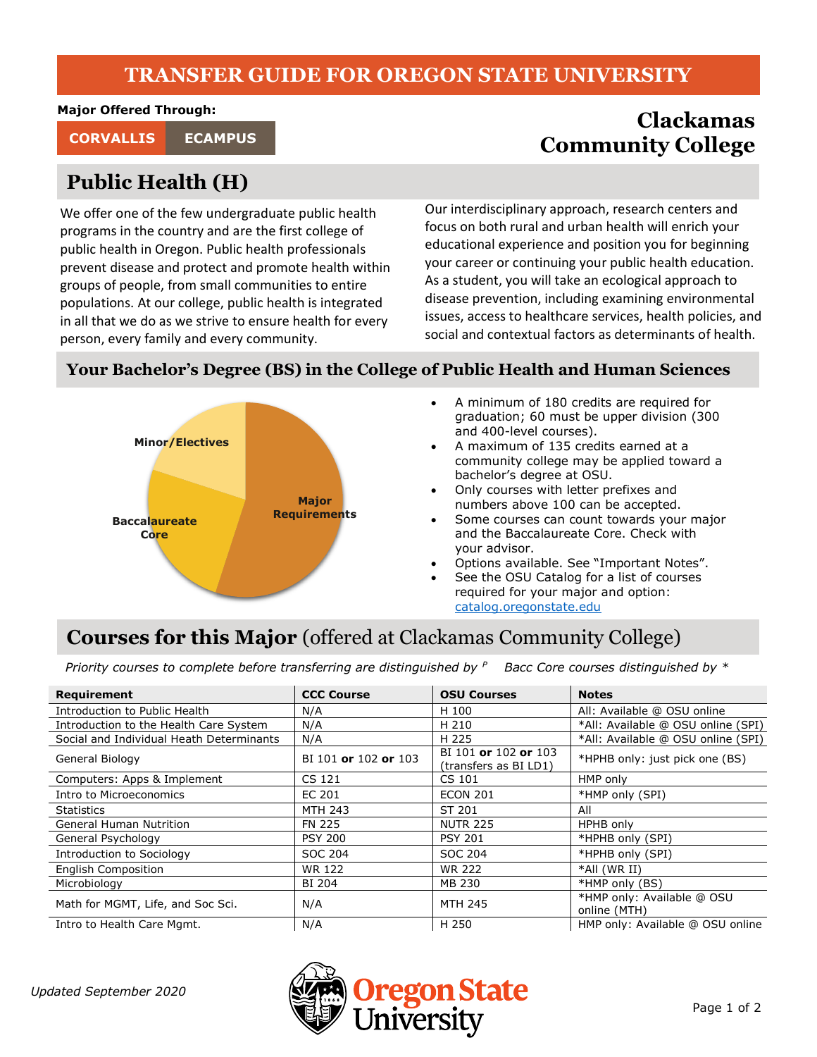#### **TRANSFER GUIDE FOR OREGON STATE UNIVERSITY**

**Major Offered Through:**

# **Public Health (H)**

We offer one of the few undergraduate public health programs in the country and are the first college of public health in Oregon. Public health professionals prevent disease and protect and promote health within groups of people, from small communities to entire populations. At our college, public health is integrated in all that we do as we strive to ensure health for every person, every family and every community.

## **Clackamas Community College CORVALLIS ECAMPUS**

Our interdisciplinary approach, research centers and focus on both rural and urban health will enrich your educational experience and position you for beginning your career or continuing your public health education. As a student, you will take an ecological approach to disease prevention, including examining environmental issues, access to healthcare services, health policies, and social and contextual factors as determinants of health.

#### **Your Bachelor's Degree (BS) in the College of Public Health and Human Sciences**



- A minimum of 180 credits are required for graduation; 60 must be upper division (300 and 400-level courses).
- A maximum of 135 credits earned at a community college may be applied toward a bachelor's degree at OSU.
- Only courses with letter prefixes and numbers above 100 can be accepted.
- Some courses can count towards your major and the Baccalaureate Core. Check with your advisor.
- Options available. See "Important Notes".
- See the OSU Catalog for a list of courses required for your major and option: [catalog.oregonstate.edu](http://catalog.oregonstate.edu/)

## **Courses for this Major** (offered at Clackamas Community College)

*Priority courses to complete before transferring are distinguished by <sup>P</sup> Bacc Core courses distinguished by \**

| Requirement                              | <b>CCC Course</b>    | <b>OSU Courses</b>                            | <b>Notes</b>                               |
|------------------------------------------|----------------------|-----------------------------------------------|--------------------------------------------|
| Introduction to Public Health            | N/A                  | H 100                                         | All: Available @ OSU online                |
| Introduction to the Health Care System   | N/A                  | H 210                                         | *All: Available @ OSU online (SPI)         |
| Social and Individual Heath Determinants | N/A                  | H 225                                         | *All: Available @ OSU online (SPI)         |
| General Biology                          | BI 101 or 102 or 103 | BI 101 or 102 or 103<br>(transfers as BI LD1) | *HPHB only: just pick one (BS)             |
| Computers: Apps & Implement              | CS 121               | CS 101                                        | HMP only                                   |
| Intro to Microeconomics                  | EC 201               | <b>ECON 201</b>                               | *HMP only (SPI)                            |
| <b>Statistics</b>                        | <b>MTH 243</b>       | ST 201                                        | All                                        |
| <b>General Human Nutrition</b>           | <b>FN 225</b>        | <b>NUTR 225</b>                               | HPHB only                                  |
| General Psychology                       | <b>PSY 200</b>       | <b>PSY 201</b>                                | *HPHB only (SPI)                           |
| Introduction to Sociology                | SOC 204              | SOC 204                                       | *HPHB only (SPI)                           |
| <b>English Composition</b>               | WR 122               | <b>WR 222</b>                                 | *All (WR II)                               |
| Microbiology                             | BI 204               | MB 230                                        | *HMP only (BS)                             |
| Math for MGMT, Life, and Soc Sci.        | N/A                  | <b>MTH 245</b>                                | *HMP only: Available @ OSU<br>online (MTH) |
| Intro to Health Care Mgmt.               | N/A                  | H 250                                         | HMP only: Available @ OSU online           |